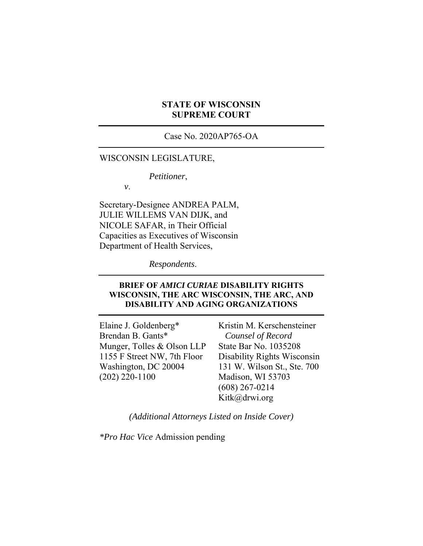### **STATE OF WISCONSIN SUPREME COURT**

Case No. 2020AP765-OA

#### WISCONSIN LEGISLATURE,

*Petitioner*,

*v*.

Secretary-Designee ANDREA PALM, JULIE WILLEMS VAN DIJK, and NICOLE SAFAR, in Their Official Capacities as Executives of Wisconsin Department of Health Services,

*Respondents*.

#### **BRIEF OF** *AMICI CURIAE* **DISABILITY RIGHTS WISCONSIN, THE ARC WISCONSIN, THE ARC, AND DISABILITY AND AGING ORGANIZATIONS**

Elaine J. Goldenberg\* Brendan B. Gants\* Munger, Tolles & Olson LLP 1155 F Street NW, 7th Floor Washington, DC 20004 (202) 220-1100

Kristin M. Kerschensteiner *Counsel of Record*  State Bar No. 1035208 Disability Rights Wisconsin 131 W. Wilson St., Ste. 700 Madison, WI 53703 (608) 267-0214 Kitk@drwi.org

*(Additional Attorneys Listed on Inside Cover)* 

*\*Pro Hac Vice* Admission pending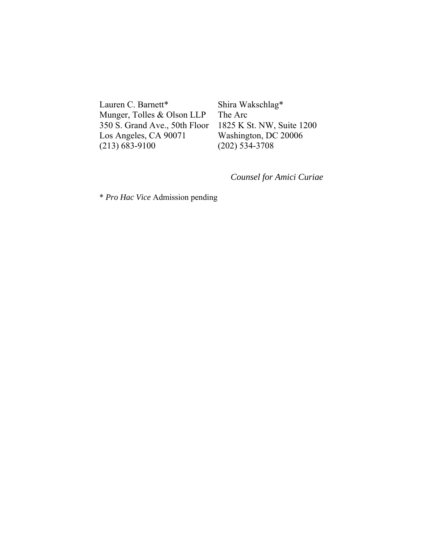Lauren C. Barnett\* Munger, Tolles & Olson LLP 350 S. Grand Ave., 50th Floor Los Angeles, CA 90071 (213) 683-9100

Shira Wakschlag\* The Arc 1825 K St. NW, Suite 1200 Washington, DC 20006 (202) 534-3708

*Counsel for Amici Curiae* 

\* *Pro Hac Vice* Admission pending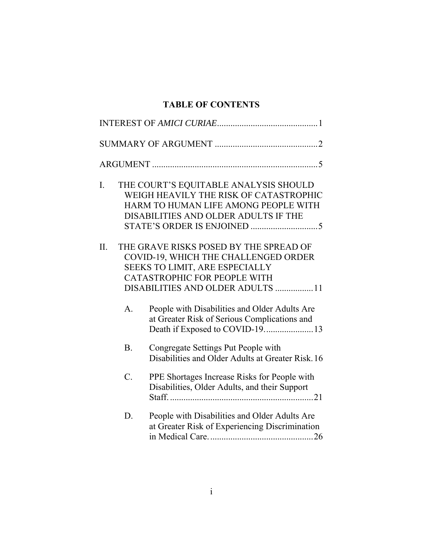# **TABLE OF CONTENTS**

| I.  |                 | THE COURT'S EQUITABLE ANALYSIS SHOULD<br>WEIGH HEAVILY THE RISK OF CATASTROPHIC<br>HARM TO HUMAN LIFE AMONG PEOPLE WITH<br>DISABILITIES AND OLDER ADULTS IF THE                                                                       |
|-----|-----------------|---------------------------------------------------------------------------------------------------------------------------------------------------------------------------------------------------------------------------------------|
| II. | A <sub>1</sub>  | THE GRAVE RISKS POSED BY THE SPREAD OF<br>COVID-19, WHICH THE CHALLENGED ORDER<br>SEEKS TO LIMIT, ARE ESPECIALLY<br>CATASTROPHIC FOR PEOPLE WITH<br>DISABILITIES AND OLDER ADULTS 11<br>People with Disabilities and Older Adults Are |
|     |                 | at Greater Risk of Serious Complications and<br>Death if Exposed to COVID-1913                                                                                                                                                        |
|     | <b>B.</b>       | Congregate Settings Put People with<br>Disabilities and Older Adults at Greater Risk. 16                                                                                                                                              |
|     | $\mathcal{C}$ . | PPE Shortages Increase Risks for People with<br>Disabilities, Older Adults, and their Support                                                                                                                                         |
|     | D.              | People with Disabilities and Older Adults Are<br>at Greater Risk of Experiencing Discrimination                                                                                                                                       |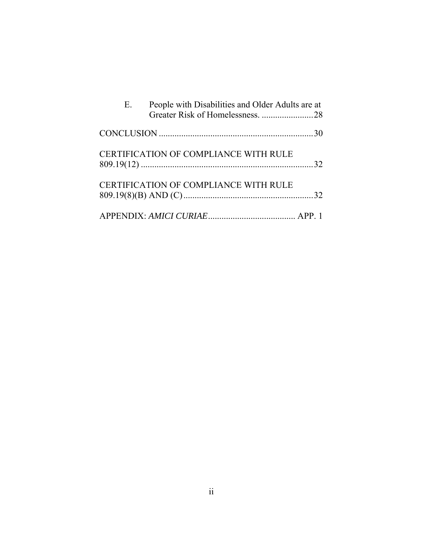| E. | People with Disabilities and Older Adults are at<br>Greater Risk of Homelessness. 28 |  |
|----|--------------------------------------------------------------------------------------|--|
|    |                                                                                      |  |
|    | <b>CERTIFICATION OF COMPLIANCE WITH RULE</b>                                         |  |
|    | CERTIFICATION OF COMPLIANCE WITH RULE                                                |  |
|    |                                                                                      |  |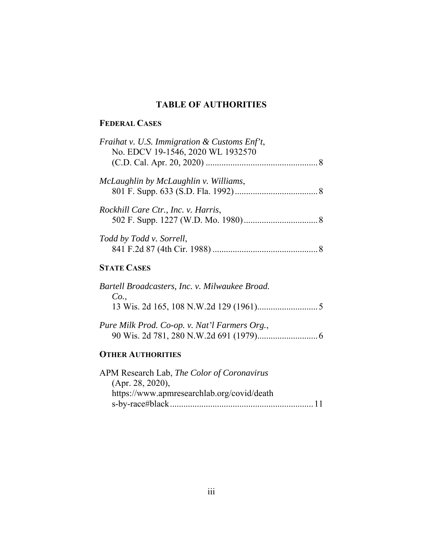# **TABLE OF AUTHORITIES**

# **FEDERAL CASES**

| Fraihat v. U.S. Immigration & Customs $Enf't$ ,<br>No. EDCV 19-1546, 2020 WL 1932570 |
|--------------------------------------------------------------------------------------|
| McLaughlin by McLaughlin v. Williams,                                                |
| Rockhill Care Ctr., Inc. v. Harris,                                                  |
| Todd by Todd v. Sorrell,                                                             |
| <b>STATE CASES</b>                                                                   |
| Bartell Broadcasters, Inc. v. Milwaukee Broad.<br>Co.,                               |

# *Pure Milk Prod. Co-op. v. Nat'l Farmers Org.*, 90 Wis. 2d 781, 280 N.W.2d 691 (1979) ........................... 6

# **OTHER AUTHORITIES**

| APM Research Lab, The Color of Coronavirus |  |
|--------------------------------------------|--|
| (Apr. 28, 2020),                           |  |
| https://www.apmresearchlab.org/covid/death |  |
|                                            |  |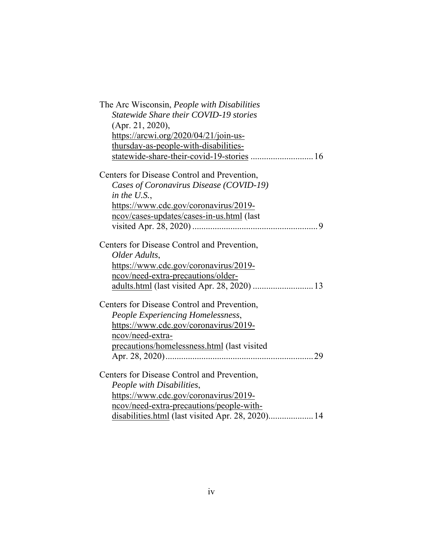| The Arc Wisconsin, People with Disabilities<br>Statewide Share their COVID-19 stories<br>(Apr. 21, 2020),<br>https://arcwi.org/2020/04/21/join-us-<br>thursday-as-people-with-disabilities-<br>statewide-share-their-covid-19-stories  16 |
|-------------------------------------------------------------------------------------------------------------------------------------------------------------------------------------------------------------------------------------------|
| Centers for Disease Control and Prevention,                                                                                                                                                                                               |
| Cases of Coronavirus Disease (COVID-19)                                                                                                                                                                                                   |
| in the U.S.,                                                                                                                                                                                                                              |
| https://www.cdc.gov/coronavirus/2019-                                                                                                                                                                                                     |
| ncov/cases-updates/cases-in-us.html (last                                                                                                                                                                                                 |
|                                                                                                                                                                                                                                           |
| Centers for Disease Control and Prevention,                                                                                                                                                                                               |
| Older Adults,                                                                                                                                                                                                                             |
| https://www.cdc.gov/coronavirus/2019-                                                                                                                                                                                                     |
| ncov/need-extra-precautions/older-                                                                                                                                                                                                        |
| adults.html (last visited Apr. 28, 2020)  13                                                                                                                                                                                              |
| Centers for Disease Control and Prevention,                                                                                                                                                                                               |
| People Experiencing Homelessness,                                                                                                                                                                                                         |
| https://www.cdc.gov/coronavirus/2019-                                                                                                                                                                                                     |
| ncov/need-extra-                                                                                                                                                                                                                          |
| precautions/homelessness.html (last visited                                                                                                                                                                                               |
|                                                                                                                                                                                                                                           |
| Centers for Disease Control and Prevention,                                                                                                                                                                                               |
| People with Disabilities,                                                                                                                                                                                                                 |
| https://www.cdc.gov/coronavirus/2019-                                                                                                                                                                                                     |
| ncov/need-extra-precautions/people-with-                                                                                                                                                                                                  |
| disabilities.html (last visited Apr. 28, 2020) 14                                                                                                                                                                                         |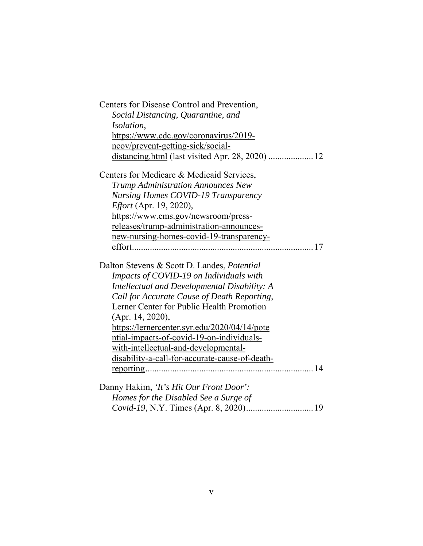| Centers for Disease Control and Prevention,<br>Social Distancing, Quarantine, and<br><i>Isolation,</i> |
|--------------------------------------------------------------------------------------------------------|
| https://www.cdc.gov/coronavirus/2019-<br>ncov/prevent-getting-sick/social-                             |
| distancing.html (last visited Apr. 28, 2020)  12                                                       |
| Centers for Medicare & Medicaid Services,                                                              |
| <b>Trump Administration Announces New</b>                                                              |
| <b>Nursing Homes COVID-19 Transparency</b>                                                             |
| Effort (Apr. 19, 2020),                                                                                |
| https://www.cms.gov/newsroom/press-                                                                    |
| releases/trump-administration-announces-                                                               |
| new-nursing-homes-covid-19-transparency-                                                               |
|                                                                                                        |
| Dalton Stevens & Scott D. Landes, Potential                                                            |
| Impacts of COVID-19 on Individuals with                                                                |
| Intellectual and Developmental Disability: A                                                           |
| Call for Accurate Cause of Death Reporting,                                                            |
| Lerner Center for Public Health Promotion                                                              |
| (Apr. 14, 2020),                                                                                       |
| https://lernercenter.syr.edu/2020/04/14/pote                                                           |
| ntial-impacts-of-covid-19-on-individuals-                                                              |
| with-intellectual-and-developmental-                                                                   |
| disability-a-call-for-accurate-cause-of-death-                                                         |
|                                                                                                        |
| Danny Hakim, 'It's Hit Our Front Door':                                                                |
| Homes for the Disabled See a Surge of                                                                  |
|                                                                                                        |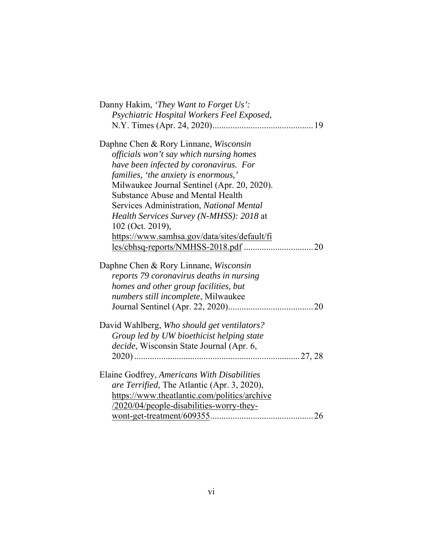| Danny Hakim, 'They Want to Forget Us':                                                                                                                                                 |
|----------------------------------------------------------------------------------------------------------------------------------------------------------------------------------------|
| Psychiatric Hospital Workers Feel Exposed,                                                                                                                                             |
|                                                                                                                                                                                        |
|                                                                                                                                                                                        |
| Daphne Chen & Rory Linnane, Wisconsin                                                                                                                                                  |
| officials won't say which nursing homes                                                                                                                                                |
| have been infected by coronavirus. For                                                                                                                                                 |
| families, 'the anxiety is enormous,'                                                                                                                                                   |
| Milwaukee Journal Sentinel (Apr. 20, 2020).                                                                                                                                            |
| <b>Substance Abuse and Mental Health</b>                                                                                                                                               |
| Services Administration, National Mental                                                                                                                                               |
| Health Services Survey (N-MHSS): 2018 at                                                                                                                                               |
| 102 (Oct. 2019),                                                                                                                                                                       |
| https://www.samhsa.gov/data/sites/default/fi                                                                                                                                           |
|                                                                                                                                                                                        |
|                                                                                                                                                                                        |
| Daphne Chen & Rory Linnane, Wisconsin                                                                                                                                                  |
| reports 79 coronavirus deaths in nursing                                                                                                                                               |
| homes and other group facilities, but                                                                                                                                                  |
| numbers still incomplete, Milwaukee                                                                                                                                                    |
|                                                                                                                                                                                        |
|                                                                                                                                                                                        |
| David Wahlberg, Who should get ventilators?                                                                                                                                            |
| Group led by UW bioethicist helping state                                                                                                                                              |
| decide, Wisconsin State Journal (Apr. 6,                                                                                                                                               |
|                                                                                                                                                                                        |
|                                                                                                                                                                                        |
|                                                                                                                                                                                        |
|                                                                                                                                                                                        |
|                                                                                                                                                                                        |
|                                                                                                                                                                                        |
| Elaine Godfrey, Americans With Disabilities<br>are Terrified, The Atlantic (Apr. 3, 2020),<br>https://www.theatlantic.com/politics/archive<br>/2020/04/people-disabilities-worry-they- |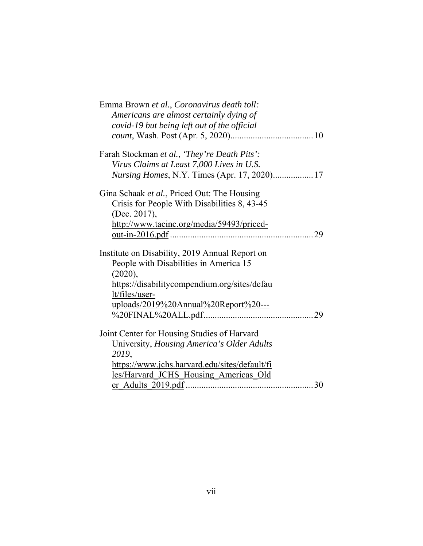| Emma Brown et al., Coronavirus death toll:         |
|----------------------------------------------------|
| Americans are almost certainly dying of            |
| covid-19 but being left out of the official        |
|                                                    |
|                                                    |
| Farah Stockman et al., 'They're Death Pits':       |
| Virus Claims at Least 7,000 Lives in U.S.          |
| <i>Nursing Homes, N.Y. Times (Apr. 17, 2020)17</i> |
|                                                    |
| Gina Schaak et al., Priced Out: The Housing        |
| Crisis for People With Disabilities 8, 43-45       |
| (Dec. 2017),                                       |
| http://www.tacinc.org/media/59493/priced-          |
|                                                    |
|                                                    |
| Institute on Disability, 2019 Annual Report on     |
| People with Disabilities in America 15             |
| (2020),                                            |
| https://disabilitycompendium.org/sites/defau       |
| lt/files/user-                                     |
| uploads/2019%20Annual%20Report%20---               |
|                                                    |
|                                                    |
| Joint Center for Housing Studies of Harvard        |
| University, Housing America's Older Adults         |
| 2019,                                              |
| https://www.jchs.harvard.edu/sites/default/fi      |
| les/Harvard JCHS Housing Americas Old              |
|                                                    |
|                                                    |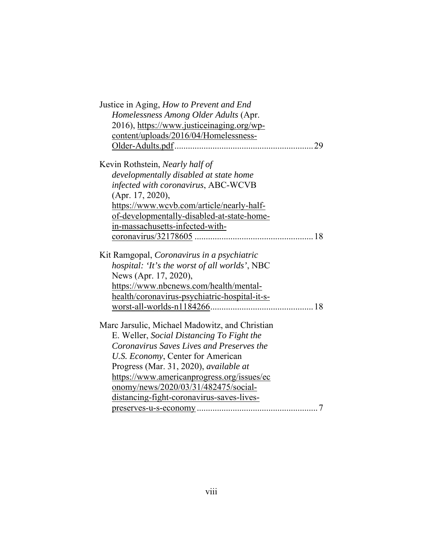| Justice in Aging, How to Prevent and End       |
|------------------------------------------------|
| Homelessness Among Older Adults (Apr.          |
| 2016), https://www.justiceinaging.org/wp-      |
| content/uploads/2016/04/Homelessness-          |
|                                                |
| Kevin Rothstein, Nearly half of                |
| developmentally disabled at state home         |
| infected with coronavirus, ABC-WCVB            |
| (Apr. 17, 2020),                               |
| https://www.wcvb.com/article/nearly-half-      |
| of-developmentally-disabled-at-state-home-     |
| in-massachusetts-infected-with-                |
|                                                |
| Kit Ramgopal, Coronavirus in a psychiatric     |
| hospital: 'It's the worst of all worlds', NBC  |
| News (Apr. 17, 2020),                          |
| https://www.nbcnews.com/health/mental-         |
| health/coronavirus-psychiatric-hospital-it-s-  |
|                                                |
| Marc Jarsulic, Michael Madowitz, and Christian |
| E. Weller, Social Distancing To Fight the      |
| Coronavirus Saves Lives and Preserves the      |
| U.S. Economy, Center for American              |
| Progress (Mar. 31, 2020), available at         |
| https://www.americanprogress.org/issues/ec     |
| onomy/news/2020/03/31/482475/social-           |
| distancing-fight-coronavirus-saves-lives-      |
|                                                |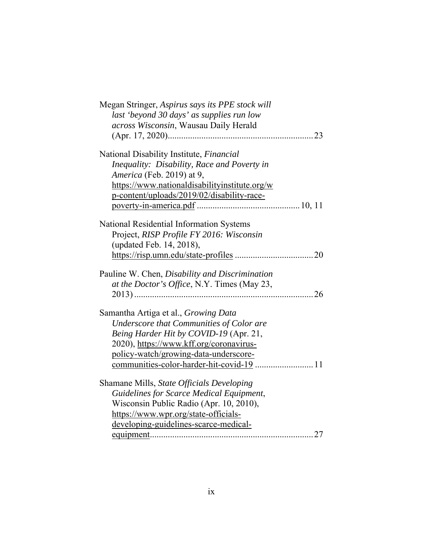| Megan Stringer, Aspirus says its PPE stock will |
|-------------------------------------------------|
| last 'beyond 30 days' as supplies run low       |
| across Wisconsin, Wausau Daily Herald           |
|                                                 |
|                                                 |
| National Disability Institute, Financial        |
| Inequality: Disability, Race and Poverty in     |
| America (Feb. 2019) at 9,                       |
| https://www.nationaldisabilityinstitute.org/w   |
| p-content/uploads/2019/02/disability-race-      |
|                                                 |
|                                                 |
| National Residential Information Systems        |
| Project, RISP Profile FY 2016: Wisconsin        |
| (updated Feb. 14, 2018),                        |
|                                                 |
|                                                 |
| Pauline W. Chen, Disability and Discrimination  |
| at the Doctor's Office, N.Y. Times (May 23,     |
|                                                 |
|                                                 |
| Samantha Artiga et al., Growing Data            |
| Underscore that Communities of Color are        |
| Being Harder Hit by COVID-19 (Apr. 21,          |
| 2020), https://www.kff.org/coronavirus-         |
| policy-watch/growing-data-underscore-           |
| communities-color-harder-hit-covid-19  11       |
| Shamane Mills, State Officials Developing       |
| Guidelines for Scarce Medical Equipment,        |
| Wisconsin Public Radio (Apr. 10, 2010),         |
| https://www.wpr.org/state-officials-            |
|                                                 |
| developing-guidelines-scarce-medical-<br>27     |
|                                                 |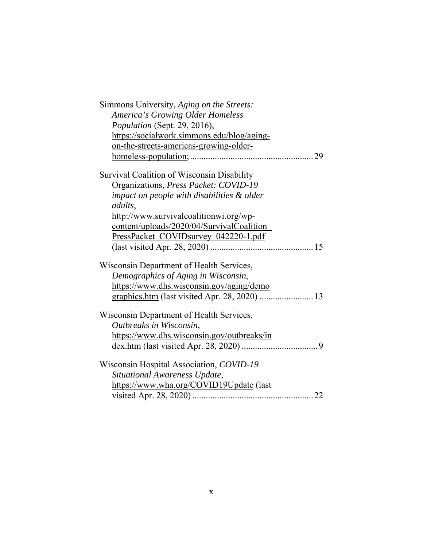| Simmons University, Aging on the Streets:     |
|-----------------------------------------------|
| <b>America's Growing Older Homeless</b>       |
| Population (Sept. 29, 2016),                  |
| https://socialwork.simmons.edu/blog/aging-    |
| on-the-streets-americas-growing-older-        |
| 29                                            |
| Survival Coalition of Wisconsin Disability    |
| Organizations, Press Packet: COVID-19         |
| impact on people with disabilities & older    |
| adults,                                       |
| http://www.survivalcoalitionwi.org/wp-        |
| content/uploads/2020/04/SurvivalCoalition     |
| PressPacket_COVIDsurvey_042220-1.pdf          |
|                                               |
| Wisconsin Department of Health Services,      |
| Demographics of Aging in Wisconsin,           |
| https://www.dhs.wisconsin.gov/aging/demo      |
| graphics.htm (last visited Apr. 28, 2020)  13 |
| Wisconsin Department of Health Services,      |
| Outbreaks in Wisconsin,                       |
| https://www.dhs.wisconsin.gov/outbreaks/in    |
|                                               |
| Wisconsin Hospital Association, COVID-19      |
| Situational Awareness Update,                 |
| https://www.wha.org/COVID19Update (last       |
|                                               |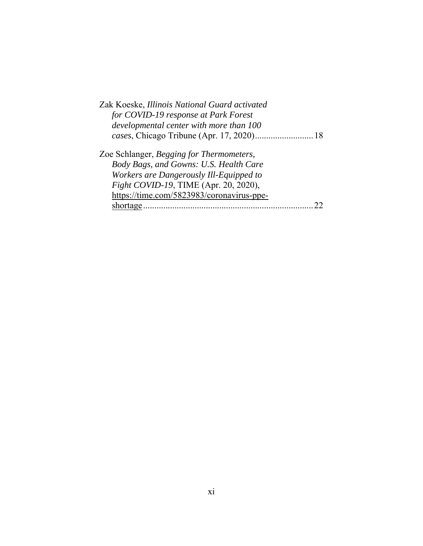| Zak Koeske, Illinois National Guard activated |
|-----------------------------------------------|
| for COVID-19 response at Park Forest          |
| developmental center with more than 100       |
|                                               |
| Zoe Schlanger, Begging for Thermometers,      |
| Body Bags, and Gowns: U.S. Health Care        |
| Workers are Dangerously Ill-Equipped to       |
| Fight COVID-19, TIME (Apr. 20, 2020),         |
| https://time.com/5823983/coronavirus-ppe-     |
| shortage.                                     |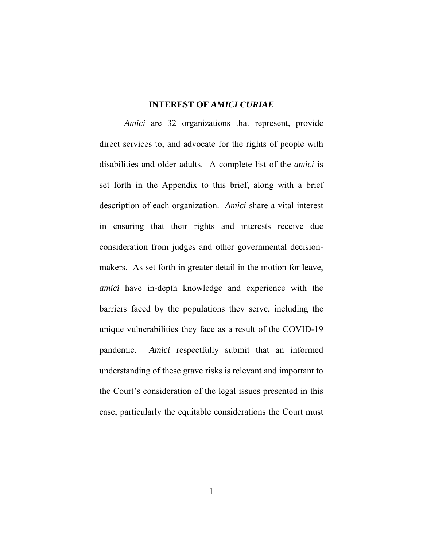#### **INTEREST OF** *AMICI CURIAE*

*Amici* are 32 organizations that represent, provide direct services to, and advocate for the rights of people with disabilities and older adults. A complete list of the *amici* is set forth in the Appendix to this brief, along with a brief description of each organization. *Amici* share a vital interest in ensuring that their rights and interests receive due consideration from judges and other governmental decisionmakers. As set forth in greater detail in the motion for leave, *amici* have in-depth knowledge and experience with the barriers faced by the populations they serve, including the unique vulnerabilities they face as a result of the COVID-19 pandemic. *Amici* respectfully submit that an informed understanding of these grave risks is relevant and important to the Court's consideration of the legal issues presented in this case, particularly the equitable considerations the Court must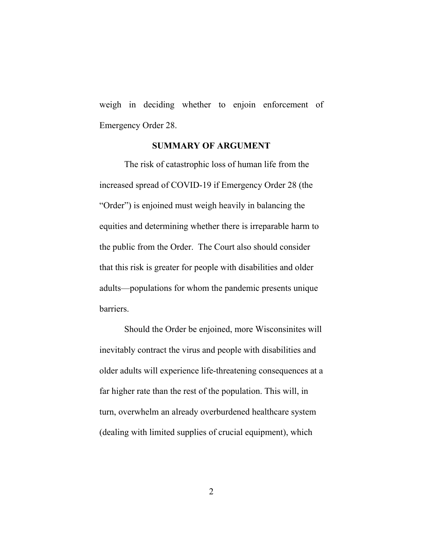weigh in deciding whether to enjoin enforcement of Emergency Order 28.

#### **SUMMARY OF ARGUMENT**

The risk of catastrophic loss of human life from the increased spread of COVID-19 if Emergency Order 28 (the "Order") is enjoined must weigh heavily in balancing the equities and determining whether there is irreparable harm to the public from the Order. The Court also should consider that this risk is greater for people with disabilities and older adults—populations for whom the pandemic presents unique barriers.

Should the Order be enjoined, more Wisconsinites will inevitably contract the virus and people with disabilities and older adults will experience life-threatening consequences at a far higher rate than the rest of the population. This will, in turn, overwhelm an already overburdened healthcare system (dealing with limited supplies of crucial equipment), which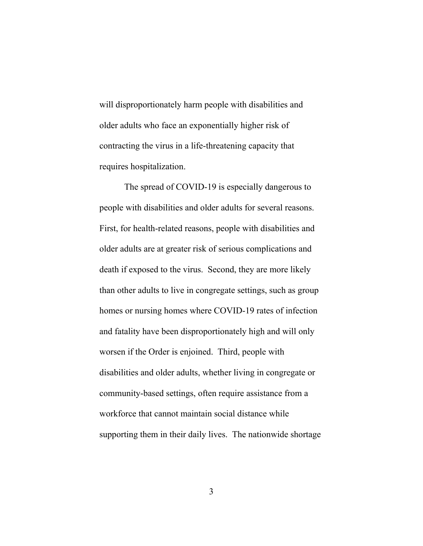will disproportionately harm people with disabilities and older adults who face an exponentially higher risk of contracting the virus in a life-threatening capacity that requires hospitalization.

The spread of COVID-19 is especially dangerous to people with disabilities and older adults for several reasons. First, for health-related reasons, people with disabilities and older adults are at greater risk of serious complications and death if exposed to the virus. Second, they are more likely than other adults to live in congregate settings, such as group homes or nursing homes where COVID-19 rates of infection and fatality have been disproportionately high and will only worsen if the Order is enjoined. Third, people with disabilities and older adults, whether living in congregate or community-based settings, often require assistance from a workforce that cannot maintain social distance while supporting them in their daily lives. The nationwide shortage

3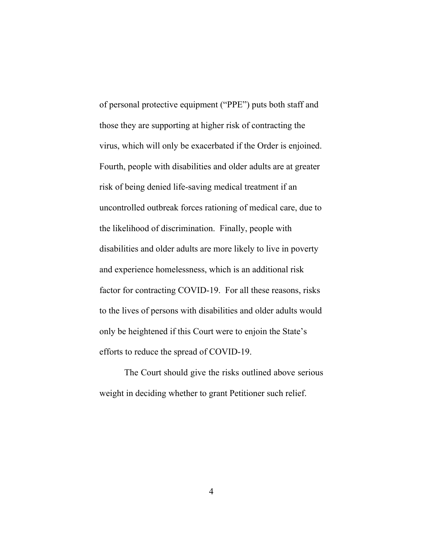of personal protective equipment ("PPE") puts both staff and those they are supporting at higher risk of contracting the virus, which will only be exacerbated if the Order is enjoined. Fourth, people with disabilities and older adults are at greater risk of being denied life-saving medical treatment if an uncontrolled outbreak forces rationing of medical care, due to the likelihood of discrimination. Finally, people with disabilities and older adults are more likely to live in poverty and experience homelessness, which is an additional risk factor for contracting COVID-19. For all these reasons, risks to the lives of persons with disabilities and older adults would only be heightened if this Court were to enjoin the State's efforts to reduce the spread of COVID-19.

The Court should give the risks outlined above serious weight in deciding whether to grant Petitioner such relief.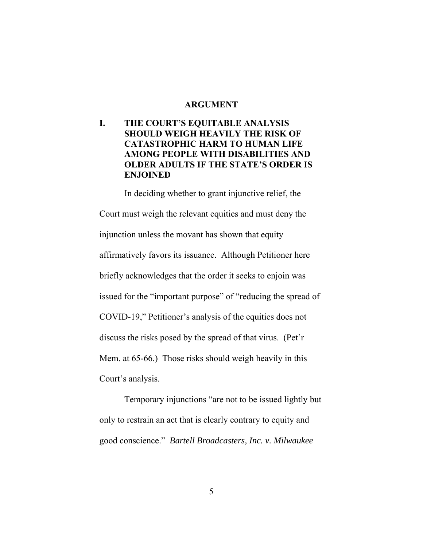#### **ARGUMENT**

# **I. THE COURT'S EQUITABLE ANALYSIS SHOULD WEIGH HEAVILY THE RISK OF CATASTROPHIC HARM TO HUMAN LIFE AMONG PEOPLE WITH DISABILITIES AND OLDER ADULTS IF THE STATE'S ORDER IS ENJOINED**

In deciding whether to grant injunctive relief, the Court must weigh the relevant equities and must deny the injunction unless the movant has shown that equity affirmatively favors its issuance. Although Petitioner here briefly acknowledges that the order it seeks to enjoin was issued for the "important purpose" of "reducing the spread of COVID-19," Petitioner's analysis of the equities does not discuss the risks posed by the spread of that virus. (Pet'r Mem. at 65-66.) Those risks should weigh heavily in this Court's analysis.

Temporary injunctions "are not to be issued lightly but only to restrain an act that is clearly contrary to equity and good conscience." *Bartell Broadcasters, Inc. v. Milwaukee*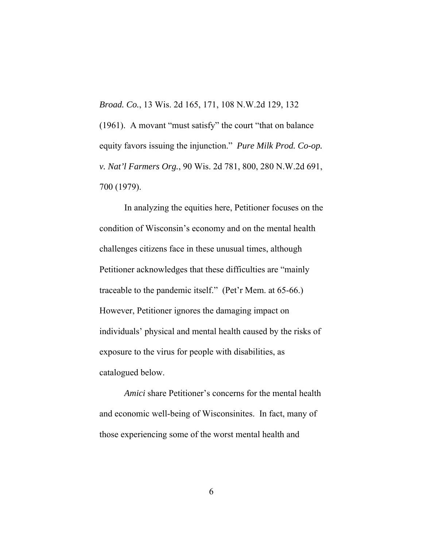*Broad. Co.*, 13 Wis. 2d 165, 171, 108 N.W.2d 129, 132 (1961). A movant "must satisfy" the court "that on balance equity favors issuing the injunction." *Pure Milk Prod. Co-op. v. Nat'l Farmers Org.*, 90 Wis. 2d 781, 800, 280 N.W.2d 691, 700 (1979).

In analyzing the equities here, Petitioner focuses on the condition of Wisconsin's economy and on the mental health challenges citizens face in these unusual times, although Petitioner acknowledges that these difficulties are "mainly traceable to the pandemic itself." (Pet'r Mem. at 65-66.) However, Petitioner ignores the damaging impact on individuals' physical and mental health caused by the risks of exposure to the virus for people with disabilities, as catalogued below.

*Amici* share Petitioner's concerns for the mental health and economic well-being of Wisconsinites. In fact, many of those experiencing some of the worst mental health and

6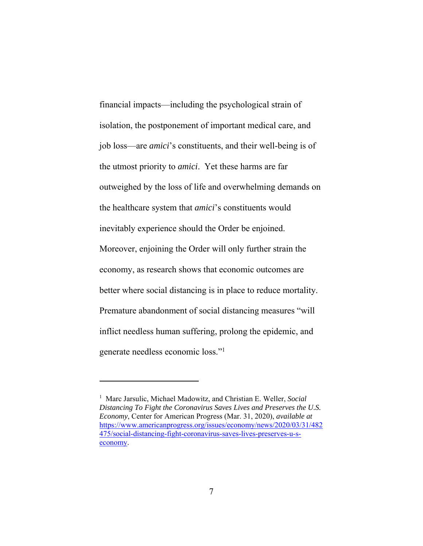financial impacts—including the psychological strain of isolation, the postponement of important medical care, and job loss—are *amici*'s constituents, and their well-being is of the utmost priority to *amici*. Yet these harms are far outweighed by the loss of life and overwhelming demands on the healthcare system that *amici*'s constituents would inevitably experience should the Order be enjoined. Moreover, enjoining the Order will only further strain the economy, as research shows that economic outcomes are better where social distancing is in place to reduce mortality. Premature abandonment of social distancing measures "will inflict needless human suffering, prolong the epidemic, and generate needless economic loss."1

<sup>&</sup>lt;sup>1</sup> Marc Jarsulic, Michael Madowitz, and Christian E. Weller, *Social Distancing To Fight the Coronavirus Saves Lives and Preserves the U.S. Economy*, Center for American Progress (Mar. 31, 2020), *available at* https://www.americanprogress.org/issues/economy/news/2020/03/31/482 475/social-distancing-fight-coronavirus-saves-lives-preserves-u-seconomy.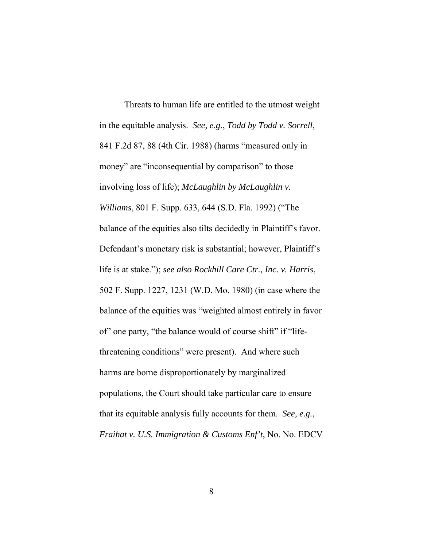Threats to human life are entitled to the utmost weight in the equitable analysis. *See, e.g.*, *Todd by Todd v. Sorrell*, 841 F.2d 87, 88 (4th Cir. 1988) (harms "measured only in money" are "inconsequential by comparison" to those involving loss of life); *McLaughlin by McLaughlin v. Williams*, 801 F. Supp. 633, 644 (S.D. Fla. 1992) ("The balance of the equities also tilts decidedly in Plaintiff's favor. Defendant's monetary risk is substantial; however, Plaintiff's life is at stake."); *see also Rockhill Care Ctr., Inc. v. Harris*, 502 F. Supp. 1227, 1231 (W.D. Mo. 1980) (in case where the balance of the equities was "weighted almost entirely in favor of" one party, "the balance would of course shift" if "lifethreatening conditions" were present). And where such harms are borne disproportionately by marginalized populations, the Court should take particular care to ensure that its equitable analysis fully accounts for them. *See, e.g.*, *Fraihat v. U.S. Immigration & Customs Enf't*, No. No. EDCV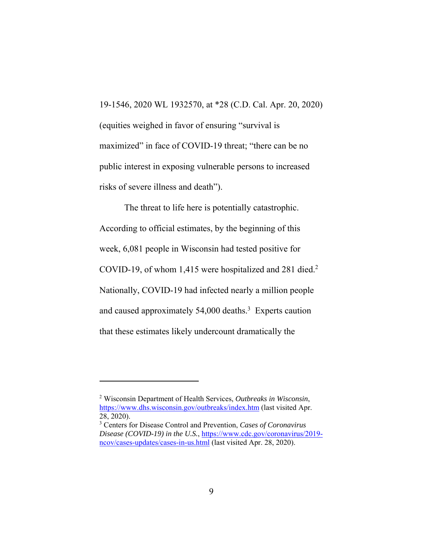19-1546, 2020 WL 1932570, at \*28 (C.D. Cal. Apr. 20, 2020) (equities weighed in favor of ensuring "survival is maximized" in face of COVID-19 threat; "there can be no public interest in exposing vulnerable persons to increased risks of severe illness and death").

The threat to life here is potentially catastrophic. According to official estimates, by the beginning of this week, 6,081 people in Wisconsin had tested positive for COVID-19, of whom 1,415 were hospitalized and 281 died.<sup>2</sup> Nationally, COVID-19 had infected nearly a million people and caused approximately 54,000 deaths.<sup>3</sup> Experts caution that these estimates likely undercount dramatically the

<sup>2</sup> Wisconsin Department of Health Services, *Outbreaks in Wisconsin*, https://www.dhs.wisconsin.gov/outbreaks/index.htm (last visited Apr. 28, 2020).

<sup>3</sup> Centers for Disease Control and Prevention, *Cases of Coronavirus Disease (COVID-19) in the U.S.*, https://www.cdc.gov/coronavirus/2019 ncov/cases-updates/cases-in-us.html (last visited Apr. 28, 2020).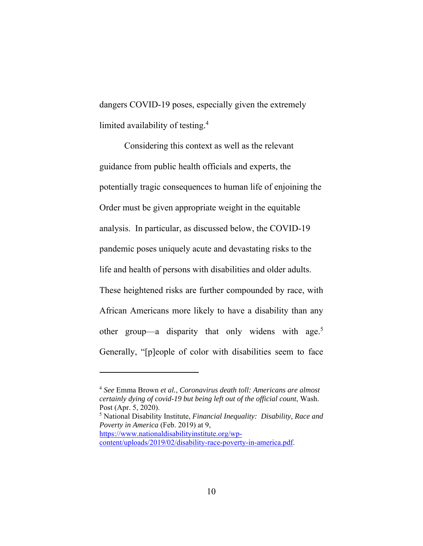dangers COVID-19 poses, especially given the extremely limited availability of testing.4

Considering this context as well as the relevant guidance from public health officials and experts, the potentially tragic consequences to human life of enjoining the Order must be given appropriate weight in the equitable analysis. In particular, as discussed below, the COVID-19 pandemic poses uniquely acute and devastating risks to the life and health of persons with disabilities and older adults. These heightened risks are further compounded by race, with African Americans more likely to have a disability than any other group—a disparity that only widens with age.<sup>5</sup> Generally, "[p]eople of color with disabilities seem to face

<sup>4</sup> *See* Emma Brown *et al.*, *Coronavirus death toll: Americans are almost certainly dying of covid-19 but being left out of the official count*, Wash. Post (Apr. 5, 2020).

<sup>5</sup> National Disability Institute, *Financial Inequality: Disability, Race and Poverty in America* (Feb. 2019) at 9, https://www.nationaldisabilityinstitute.org/wp-

content/uploads/2019/02/disability-race-poverty-in-america.pdf.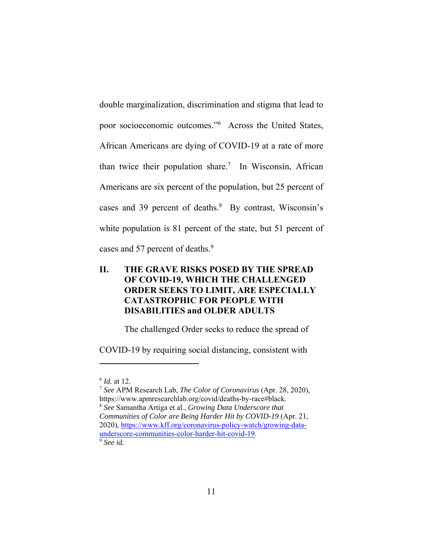double marginalization, discrimination and stigma that lead to poor socioeconomic outcomes."6 Across the United States, African Americans are dying of COVID-19 at a rate of more than twice their population share.<sup>7</sup> In Wisconsin, African Americans are six percent of the population, but 25 percent of cases and 39 percent of deaths.<sup>8</sup> By contrast, Wisconsin's white population is 81 percent of the state, but 51 percent of cases and 57 percent of deaths.<sup>9</sup>

# **II. THE GRAVE RISKS POSED BY THE SPREAD OF COVID-19, WHICH THE CHALLENGED ORDER SEEKS TO LIMIT, ARE ESPECIALLY CATASTROPHIC FOR PEOPLE WITH DISABILITIES and OLDER ADULTS**

The challenged Order seeks to reduce the spread of

COVID-19 by requiring social distancing, consistent with

<sup>6</sup> *Id.* at 12.

<sup>7</sup> *See* APM Research Lab, *The Color of Coronavirus* (Apr. 28, 2020), https://www.apmresearchlab.org/covid/deaths-by-race#black. <sup>8</sup> *See* Samantha Artiga et al., *Growing Data Underscore that* 

*Communities of Color are Being Harder Hit by COVID-19* (Apr. 21, 2020), https://www.kff.org/coronavirus-policy-watch/growing-dataunderscore-communities-color-harder-hit-covid-19. 9 *See id.*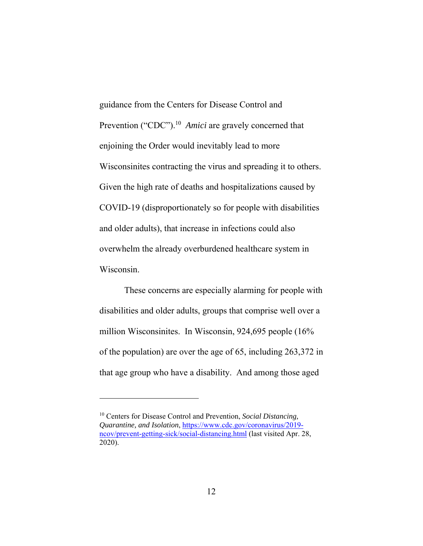guidance from the Centers for Disease Control and Prevention ("CDC").<sup>10</sup> *Amici* are gravely concerned that enjoining the Order would inevitably lead to more Wisconsinites contracting the virus and spreading it to others. Given the high rate of deaths and hospitalizations caused by COVID-19 (disproportionately so for people with disabilities and older adults), that increase in infections could also overwhelm the already overburdened healthcare system in Wisconsin.

These concerns are especially alarming for people with disabilities and older adults, groups that comprise well over a million Wisconsinites. In Wisconsin, 924,695 people (16% of the population) are over the age of 65, including 263,372 in that age group who have a disability. And among those aged

<sup>10</sup> Centers for Disease Control and Prevention, *Social Distancing, Quarantine, and Isolation*, https://www.cdc.gov/coronavirus/2019 ncov/prevent-getting-sick/social-distancing.html (last visited Apr. 28, 2020).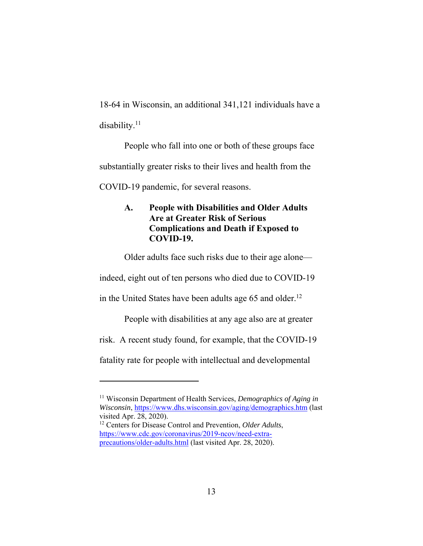18-64 in Wisconsin, an additional 341,121 individuals have a disability.<sup>11</sup>

People who fall into one or both of these groups face substantially greater risks to their lives and health from the COVID-19 pandemic, for several reasons.

# **A. People with Disabilities and Older Adults Are at Greater Risk of Serious Complications and Death if Exposed to COVID-19.**

Older adults face such risks due to their age alone—

indeed, eight out of ten persons who died due to COVID-19

in the United States have been adults age 65 and older.<sup>12</sup>

People with disabilities at any age also are at greater

risk. A recent study found, for example, that the COVID-19

fatality rate for people with intellectual and developmental

<sup>11</sup> Wisconsin Department of Health Services, *Demographics of Aging in Wisconsin*, https://www.dhs.wisconsin.gov/aging/demographics.htm (last visited Apr. 28, 2020).

<sup>12</sup> Centers for Disease Control and Prevention, *Older Adults*, https://www.cdc.gov/coronavirus/2019-ncov/need-extraprecautions/older-adults.html (last visited Apr. 28, 2020).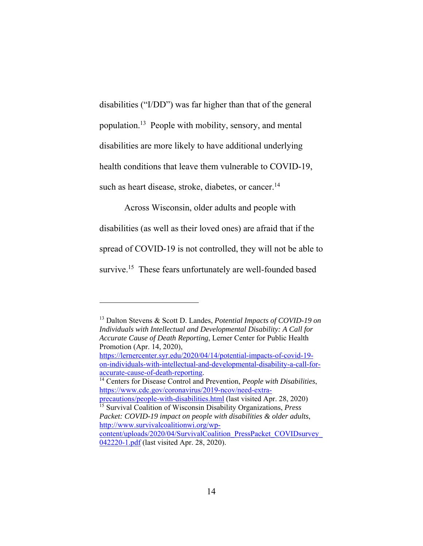disabilities ("I/DD") was far higher than that of the general population.13 People with mobility, sensory, and mental disabilities are more likely to have additional underlying health conditions that leave them vulnerable to COVID-19, such as heart disease, stroke, diabetes, or cancer.<sup>14</sup>

Across Wisconsin, older adults and people with

disabilities (as well as their loved ones) are afraid that if the

spread of COVID-19 is not controlled, they will not be able to

survive.<sup>15</sup> These fears unfortunately are well-founded based

<sup>13</sup> Dalton Stevens & Scott D. Landes, *Potential Impacts of COVID-19 on Individuals with Intellectual and Developmental Disability: A Call for Accurate Cause of Death Reporting*, Lerner Center for Public Health Promotion (Apr. 14, 2020),

https://lernercenter.syr.edu/2020/04/14/potential-impacts-of-covid-19 on-individuals-with-intellectual-and-developmental-disability-a-call-foraccurate-cause-of-death-reporting. 14 Centers for Disease Control and Prevention, *People with Disabilities*,

https://www.cdc.gov/coronavirus/2019-ncov/need-extra-

precautions/people-with-disabilities.html (last visited Apr. 28, 2020) 15 Survival Coalition of Wisconsin Disability Organizations, *Press* 

*Packet: COVID-19 impact on people with disabilities & older adults*, http://www.survivalcoalitionwi.org/wp-

content/uploads/2020/04/SurvivalCoalition\_PressPacket\_COVIDsurvey\_ 042220-1.pdf (last visited Apr. 28, 2020).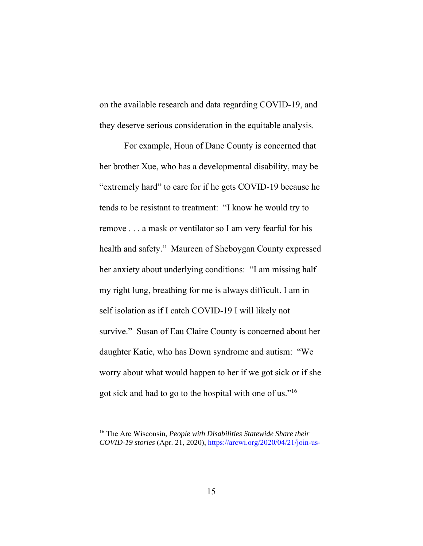on the available research and data regarding COVID-19, and they deserve serious consideration in the equitable analysis.

For example, Houa of Dane County is concerned that her brother Xue, who has a developmental disability, may be "extremely hard" to care for if he gets COVID-19 because he tends to be resistant to treatment: "I know he would try to remove . . . a mask or ventilator so I am very fearful for his health and safety." Maureen of Sheboygan County expressed her anxiety about underlying conditions: "I am missing half my right lung, breathing for me is always difficult. I am in self isolation as if I catch COVID-19 I will likely not survive." Susan of Eau Claire County is concerned about her daughter Katie, who has Down syndrome and autism: "We worry about what would happen to her if we got sick or if she got sick and had to go to the hospital with one of us."16

<sup>16</sup> The Arc Wisconsin, *People with Disabilities Statewide Share their COVID-19 stories* (Apr. 21, 2020), https://arcwi.org/2020/04/21/join-us-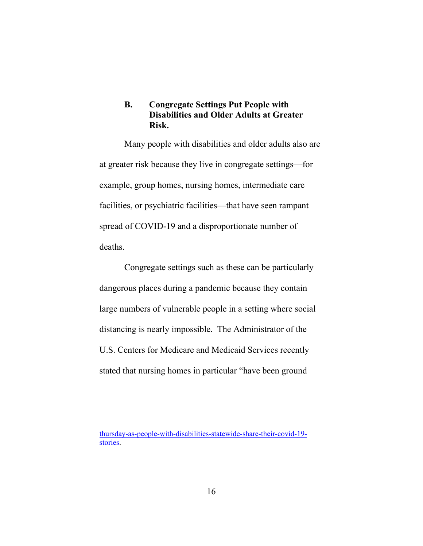## **B. Congregate Settings Put People with Disabilities and Older Adults at Greater Risk.**

Many people with disabilities and older adults also are at greater risk because they live in congregate settings—for example, group homes, nursing homes, intermediate care facilities, or psychiatric facilities—that have seen rampant spread of COVID-19 and a disproportionate number of deaths.

Congregate settings such as these can be particularly dangerous places during a pandemic because they contain large numbers of vulnerable people in a setting where social distancing is nearly impossible. The Administrator of the U.S. Centers for Medicare and Medicaid Services recently stated that nursing homes in particular "have been ground

thursday-as-people-with-disabilities-statewide-share-their-covid-19 stories.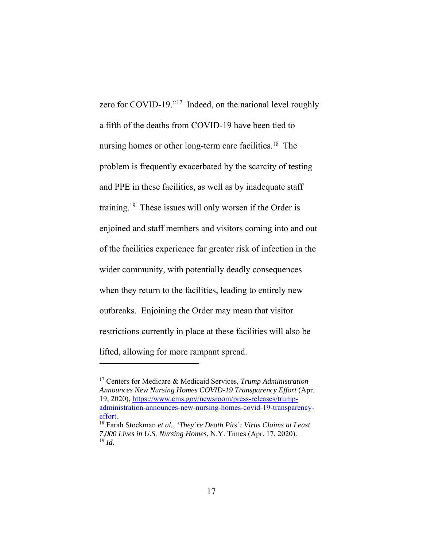zero for COVID-19."17 Indeed, on the national level roughly a fifth of the deaths from COVID-19 have been tied to nursing homes or other long-term care facilities.<sup>18</sup> The problem is frequently exacerbated by the scarcity of testing and PPE in these facilities, as well as by inadequate staff training.19 These issues will only worsen if the Order is enjoined and staff members and visitors coming into and out of the facilities experience far greater risk of infection in the wider community, with potentially deadly consequences when they return to the facilities, leading to entirely new outbreaks. Enjoining the Order may mean that visitor restrictions currently in place at these facilities will also be lifted, allowing for more rampant spread.

<sup>17</sup> Centers for Medicare & Medicaid Services, *Trump Administration Announces New Nursing Homes COVID-19 Transparency Effort* (Apr. 19, 2020), https://www.cms.gov/newsroom/press-releases/trumpadministration-announces-new-nursing-homes-covid-19-transparencyeffort. 18 Farah Stockman *et al.*, *'They're Death Pits': Virus Claims at Least* 

*<sup>7,000</sup> Lives in U.S. Nursing Homes*, N.Y. Times (Apr. 17, 2020). <sup>19</sup> *Id.*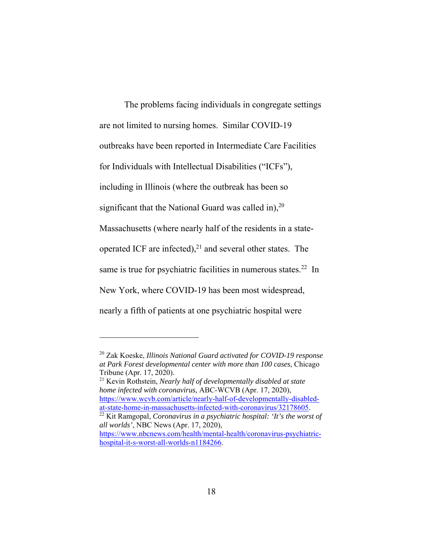The problems facing individuals in congregate settings are not limited to nursing homes. Similar COVID-19 outbreaks have been reported in Intermediate Care Facilities for Individuals with Intellectual Disabilities ("ICFs"), including in Illinois (where the outbreak has been so significant that the National Guard was called in), $20$ Massachusetts (where nearly half of the residents in a stateoperated ICF are infected), $^{21}$  and several other states. The same is true for psychiatric facilities in numerous states.<sup>22</sup> In New York, where COVID-19 has been most widespread, nearly a fifth of patients at one psychiatric hospital were

 $\overline{a}$ 

21 Kevin Rothstein, *Nearly half of developmentally disabled at state home infected with coronavirus*, ABC-WCVB (Apr. 17, 2020), https://www.wcvb.com/article/nearly-half-of-developmentally-disabled-<br>at-state-home-in-massachusetts-infected-with-coronavirus/32178605.

 $\frac{22}{21}$  Kit Ramgopal, *Coronavirus in a psychiatric hospital: 'It's the worst of all worlds'*, NBC News (Apr. 17, 2020), https://www.nbcnews.com/health/mental-health/coronavirus-psychiatric-

<sup>20</sup> Zak Koeske, *Illinois National Guard activated for COVID-19 response at Park Forest developmental center with more than 100 cases*, Chicago Tribune (Apr. 17, 2020).

hospital-it-s-worst-all-worlds-n1184266.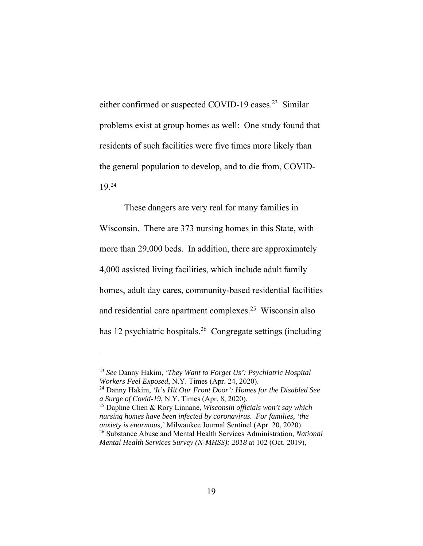either confirmed or suspected COVID-19 cases.<sup>23</sup> Similar problems exist at group homes as well: One study found that residents of such facilities were five times more likely than the general population to develop, and to die from, COVID-19.24

These dangers are very real for many families in Wisconsin. There are 373 nursing homes in this State, with more than 29,000 beds. In addition, there are approximately 4,000 assisted living facilities, which include adult family homes, adult day cares, community-based residential facilities and residential care apartment complexes.25 Wisconsin also has 12 psychiatric hospitals.<sup>26</sup> Congregate settings (including

<sup>23</sup> *See* Danny Hakim, *'They Want to Forget Us': Psychiatric Hospital Workers Feel Exposed*, N.Y. Times (Apr. 24, 2020).

<sup>24</sup> Danny Hakim, *'It's Hit Our Front Door': Homes for the Disabled See a Surge of Covid-19*, N.Y. Times (Apr. 8, 2020).

<sup>25</sup> Daphne Chen & Rory Linnane, *Wisconsin officials won't say which nursing homes have been infected by coronavirus. For families, 'the anxiety is enormous,'* Milwaukee Journal Sentinel (Apr. 20, 2020). 26 Substance Abuse and Mental Health Services Administration, *National Mental Health Services Survey (N-MHSS): 2018* at 102 (Oct. 2019),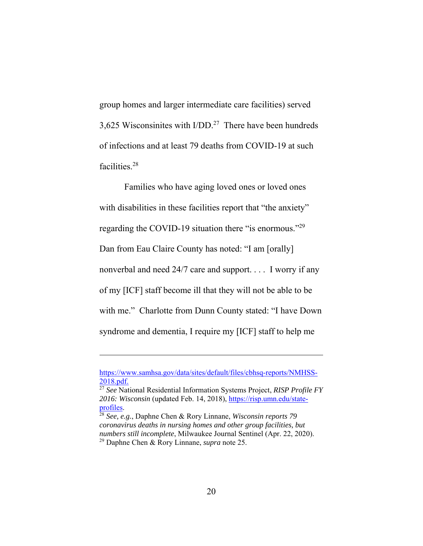group homes and larger intermediate care facilities) served 3,625 Wisconsinites with  $I/DD<sup>27</sup>$  There have been hundreds of infections and at least 79 deaths from COVID-19 at such facilities.28

Families who have aging loved ones or loved ones with disabilities in these facilities report that "the anxiety" regarding the COVID-19 situation there "is enormous."29 Dan from Eau Claire County has noted: "I am [orally] nonverbal and need 24/7 care and support. . . . I worry if any of my [ICF] staff become ill that they will not be able to be with me." Charlotte from Dunn County stated: "I have Down syndrome and dementia, I require my [ICF] staff to help me

https://www.samhsa.gov/data/sites/default/files/cbhsq-reports/NMHSS-2018.pdf.

<sup>27</sup> *See* National Residential Information Systems Project, *RISP Profile FY*  2016: Wisconsin (updated Feb. 14, 2018), https://risp.umn.edu/state-profiles.

<sup>&</sup>lt;sup>28</sup> *See, e.g.*, Daphne Chen & Rory Linnane, *Wisconsin reports* 79 *coronavirus deaths in nursing homes and other group facilities, but numbers still incomplete*, Milwaukee Journal Sentinel (Apr. 22, 2020). 29 Daphne Chen & Rory Linnane, *supra* note 25.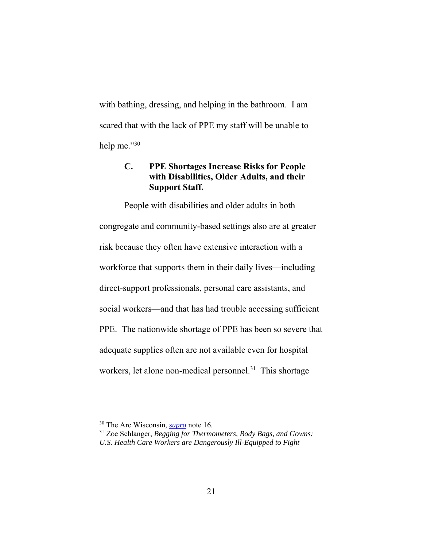with bathing, dressing, and helping in the bathroom. I am scared that with the lack of PPE my staff will be unable to help me."30

### **C. PPE Shortages Increase Risks for People with Disabilities, Older Adults, and their Support Staff.**

People with disabilities and older adults in both congregate and community-based settings also are at greater risk because they often have extensive interaction with a workforce that supports them in their daily lives—including direct-support professionals, personal care assistants, and social workers—and that has had trouble accessing sufficient PPE. The nationwide shortage of PPE has been so severe that adequate supplies often are not available even for hospital workers, let alone non-medical personnel.<sup>31</sup> This shortage

<sup>30</sup> The Arc Wisconsin, *supra* note 16.

<sup>31</sup> Zoe Schlanger, *Begging for Thermometers, Body Bags, and Gowns: U.S. Health Care Workers are Dangerously Ill-Equipped to Fight*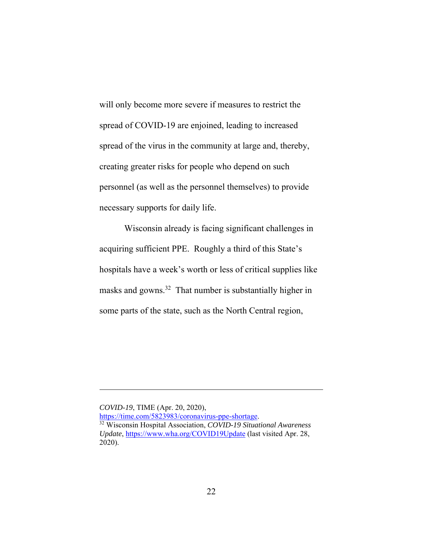will only become more severe if measures to restrict the spread of COVID-19 are enjoined, leading to increased spread of the virus in the community at large and, thereby, creating greater risks for people who depend on such personnel (as well as the personnel themselves) to provide necessary supports for daily life.

Wisconsin already is facing significant challenges in acquiring sufficient PPE. Roughly a third of this State's hospitals have a week's worth or less of critical supplies like masks and gowns.32 That number is substantially higher in some parts of the state, such as the North Central region,

*COVID-19*, TIME (Apr. 20, 2020),<br>https://time.com/5823983/coronavirus-ppe-shortage. <sup>32</sup> Wisconsin Hospital Association, *COVID-19 Situational Awareness Update*, https://www.wha.org/COVID19Update (last visited Apr. 28, 2020).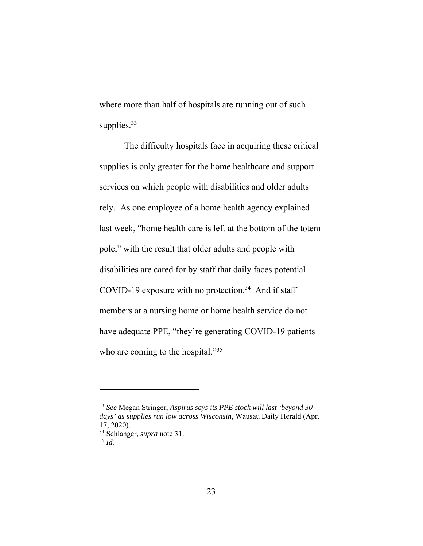where more than half of hospitals are running out of such supplies.<sup>33</sup>

The difficulty hospitals face in acquiring these critical supplies is only greater for the home healthcare and support services on which people with disabilities and older adults rely. As one employee of a home health agency explained last week, "home health care is left at the bottom of the totem pole," with the result that older adults and people with disabilities are cared for by staff that daily faces potential COVID-19 exposure with no protection.<sup>34</sup> And if staff members at a nursing home or home health service do not have adequate PPE, "they're generating COVID-19 patients who are coming to the hospital."<sup>35</sup>

<sup>33</sup> *See* Megan Stringer, *Aspirus says its PPE stock will last 'beyond 30 days' as supplies run low across Wisconsin*, Wausau Daily Herald (Apr. 17, 2020). 34 Schlanger, *supra* note 31.

<sup>35</sup> *Id.*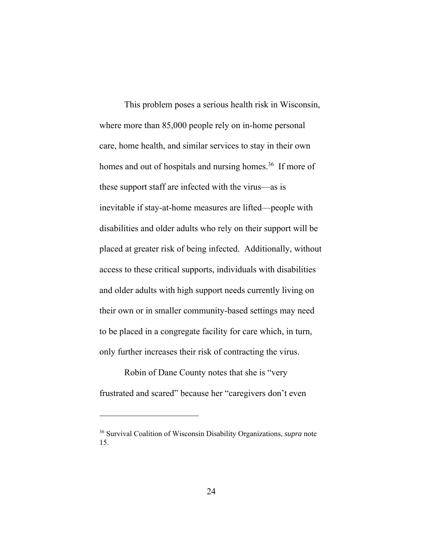This problem poses a serious health risk in Wisconsin, where more than 85,000 people rely on in-home personal care, home health, and similar services to stay in their own homes and out of hospitals and nursing homes.<sup>36</sup> If more of these support staff are infected with the virus—as is inevitable if stay-at-home measures are lifted—people with disabilities and older adults who rely on their support will be placed at greater risk of being infected. Additionally, without access to these critical supports, individuals with disabilities and older adults with high support needs currently living on their own or in smaller community-based settings may need to be placed in a congregate facility for care which, in turn, only further increases their risk of contracting the virus.

Robin of Dane County notes that she is "very frustrated and scared" because her "caregivers don't even

<sup>36</sup> Survival Coalition of Wisconsin Disability Organizations, *supra* note 15.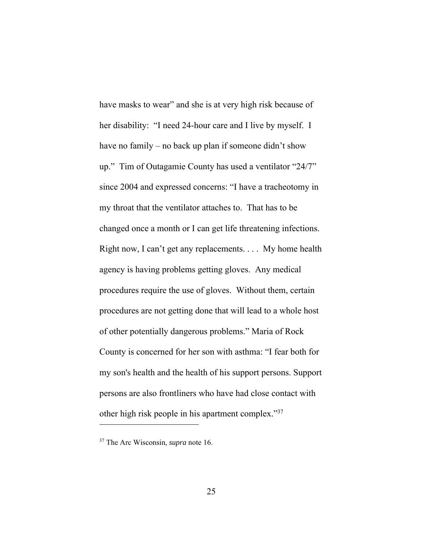have masks to wear" and she is at very high risk because of her disability: "I need 24-hour care and I live by myself. I have no family – no back up plan if someone didn't show up." Tim of Outagamie County has used a ventilator "24/7" since 2004 and expressed concerns: "I have a tracheotomy in my throat that the ventilator attaches to. That has to be changed once a month or I can get life threatening infections. Right now, I can't get any replacements. . . . My home health agency is having problems getting gloves. Any medical procedures require the use of gloves. Without them, certain procedures are not getting done that will lead to a whole host of other potentially dangerous problems." Maria of Rock County is concerned for her son with asthma: "I fear both for my son's health and the health of his support persons. Support persons are also frontliners who have had close contact with other high risk people in his apartment complex."37

<sup>37</sup> The Arc Wisconsin, *supra* note 16.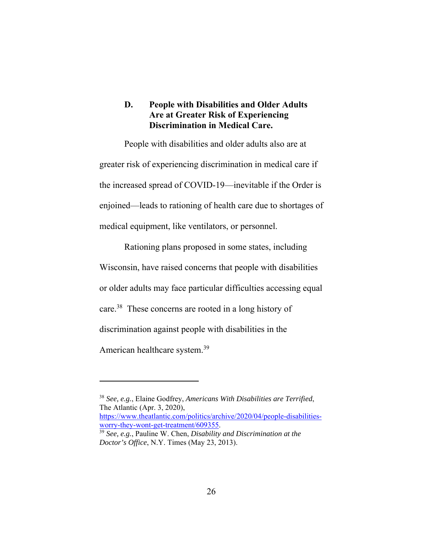### **D. People with Disabilities and Older Adults Are at Greater Risk of Experiencing Discrimination in Medical Care.**

People with disabilities and older adults also are at greater risk of experiencing discrimination in medical care if the increased spread of COVID-19—inevitable if the Order is enjoined—leads to rationing of health care due to shortages of medical equipment, like ventilators, or personnel.

Rationing plans proposed in some states, including Wisconsin, have raised concerns that people with disabilities or older adults may face particular difficulties accessing equal care.38 These concerns are rooted in a long history of discrimination against people with disabilities in the American healthcare system.<sup>39</sup>

<sup>38</sup> *See, e.g.*, Elaine Godfrey, *Americans With Disabilities are Terrified*, The Atlantic (Apr. 3, 2020), https://www.theatlantic.com/politics/archive/2020/04/people-disabilities-<br>worry-they-wont-get-treatment/609355. <sup>39</sup> See, e.g., Pauline W. Chen, *Disability and Discrimination at the* 

*Doctor's Office*, N.Y. Times (May 23, 2013).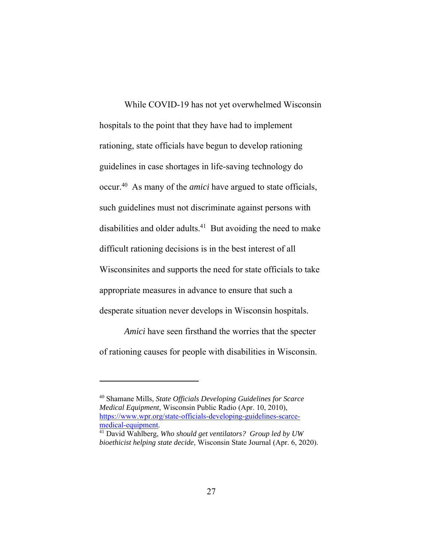While COVID-19 has not yet overwhelmed Wisconsin hospitals to the point that they have had to implement rationing, state officials have begun to develop rationing guidelines in case shortages in life-saving technology do occur.40 As many of the *amici* have argued to state officials, such guidelines must not discriminate against persons with disabilities and older adults.<sup>41</sup> But avoiding the need to make difficult rationing decisions is in the best interest of all Wisconsinites and supports the need for state officials to take appropriate measures in advance to ensure that such a desperate situation never develops in Wisconsin hospitals.

*Amici* have seen firsthand the worries that the specter of rationing causes for people with disabilities in Wisconsin.

<sup>40</sup> Shamane Mills, *State Officials Developing Guidelines for Scarce Medical Equipment*, Wisconsin Public Radio (Apr. 10, 2010), https://www.wpr.org/state-officials-developing-guidelines-scarce-

<sup>&</sup>lt;sup>41</sup> David Wahlberg, *Who should get ventilators? Group led by UW bioethicist helping state decide*, Wisconsin State Journal (Apr. 6, 2020).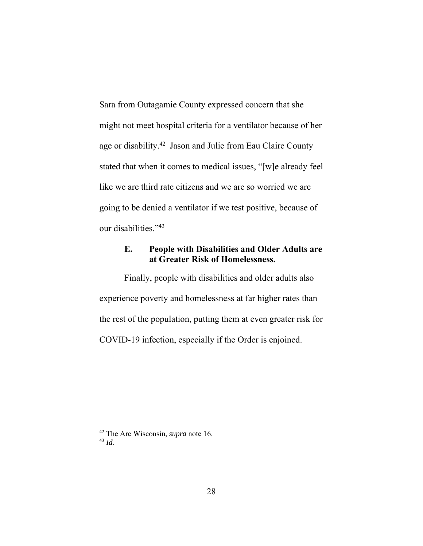Sara from Outagamie County expressed concern that she might not meet hospital criteria for a ventilator because of her age or disability.42 Jason and Julie from Eau Claire County stated that when it comes to medical issues, "[w]e already feel like we are third rate citizens and we are so worried we are going to be denied a ventilator if we test positive, because of our disabilities."43

# **E. People with Disabilities and Older Adults are at Greater Risk of Homelessness.**

Finally, people with disabilities and older adults also experience poverty and homelessness at far higher rates than the rest of the population, putting them at even greater risk for COVID-19 infection, especially if the Order is enjoined.

<sup>42</sup> The Arc Wisconsin, *supra* note 16. <sup>43</sup> *Id.*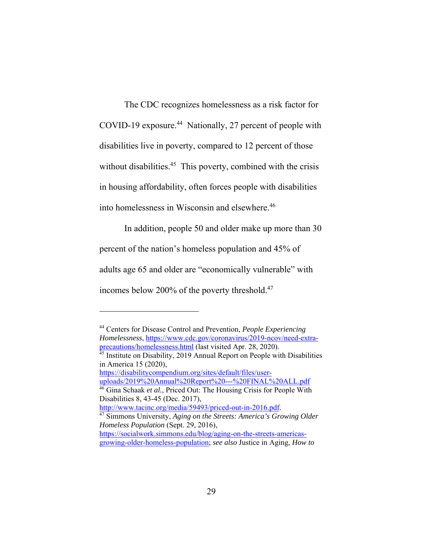The CDC recognizes homelessness as a risk factor for COVID-19 exposure.44 Nationally, 27 percent of people with disabilities live in poverty, compared to 12 percent of those without disabilities.<sup>45</sup> This poverty, combined with the crisis in housing affordability, often forces people with disabilities into homelessness in Wisconsin and elsewhere.<sup>46</sup>

In addition, people 50 and older make up more than 30 percent of the nation's homeless population and 45% of adults age 65 and older are "economically vulnerable" with incomes below 200% of the poverty threshold.47

44 Centers for Disease Control and Prevention, *People Experiencing Homelessness*, https://www.cdc.gov/coronavirus/2019-ncov/need-extraprecautions/homelessness.html (last visited Apr. 28, 2020).

https://disabilitycompendium.org/sites/default/files/user-

 $\overline{a}$ 

Disabilities 8, 43-45 (Dec. 2017),<br>http://www.tacinc.org/media/59493/priced-out-in-2016.pdf.

 $\frac{45}{45}$  Institute on Disability, 2019 Annual Report on People with Disabilities in America 15 (2020),

uploads/2019%20Annual%20Report%20---%20FINAL%20ALL.pdf 46 Gina Schaak *et al.*, Priced Out: The Housing Crisis for People With

 $\frac{47}{47}$  Simmons University, *Aging on the Streets: America's Growing Older Homeless Population* (Sept. 29, 2016),

https://socialwork.simmons.edu/blog/aging-on-the-streets-americasgrowing-older-homeless-population; *see also* Justice in Aging, *How to*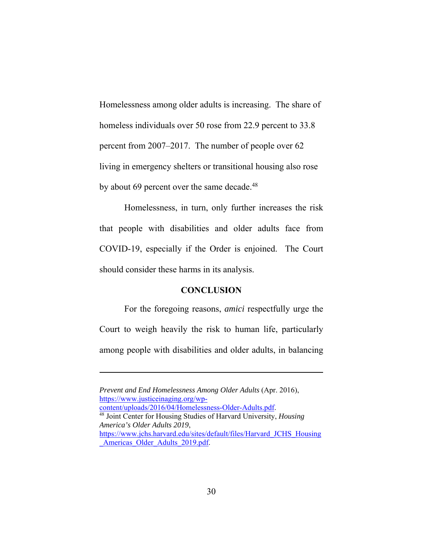Homelessness among older adults is increasing. The share of homeless individuals over 50 rose from 22.9 percent to 33.8 percent from 2007–2017. The number of people over 62 living in emergency shelters or transitional housing also rose by about 69 percent over the same decade.<sup>48</sup>

Homelessness, in turn, only further increases the risk that people with disabilities and older adults face from COVID-19, especially if the Order is enjoined. The Court should consider these harms in its analysis.

#### **CONCLUSION**

For the foregoing reasons, *amici* respectfully urge the Court to weigh heavily the risk to human life, particularly among people with disabilities and older adults, in balancing

*Prevent and End Homelessness Among Older Adults* (Apr. 2016), https://www.justiceinaging.org/wp-<br>content/uploads/2016/04/Homelessness-Older-Adults.pdf. <sup>48</sup> Joint Center for Housing Studies of Harvard University, *Housing America's Older Adults 2019*, https://www.jchs.harvard.edu/sites/default/files/Harvard\_JCHS\_Housing Americas Older Adults 2019.pdf.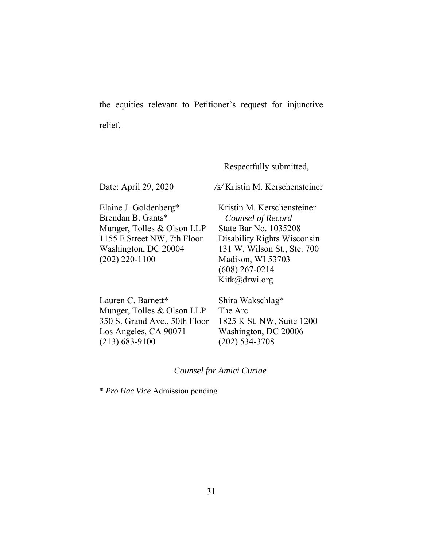the equities relevant to Petitioner's request for injunctive relief.

Respectfully submitted,

Date: April 29, 2020 /s/ Kristin M. Kerschensteiner

Elaine J. Goldenberg\* Brendan B. Gants\* Munger, Tolles & Olson LLP 1155 F Street NW, 7th Floor Washington, DC 20004 (202) 220-1100

Kristin M. Kerschensteiner *Counsel of Record*  State Bar No. 1035208 Disability Rights Wisconsin 131 W. Wilson St., Ste. 700 Madison, WI 53703 (608) 267-0214 Kitk@drwi.org

| Lauren C. Barnett*            | Shira W    |
|-------------------------------|------------|
| Munger, Tolles & Olson LLP    | The Arc    |
| 350 S. Grand Ave., 50th Floor | 1825 K     |
| Los Angeles, CA 90071         | Washing    |
| $(213) 683 - 9100$            | $(202)$ 53 |

'akschlag\* The Arc St. NW, Suite 1200 gton, DC 20006 34-3708

### *Counsel for Amici Curiae*

\* *Pro Hac Vice* Admission pending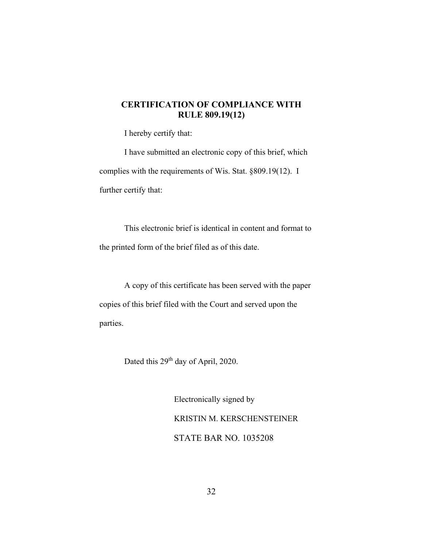### **CERTIFICATION OF COMPLIANCE WITH RULE 809.19(12)**

I hereby certify that:

I have submitted an electronic copy of this brief, which complies with the requirements of Wis. Stat. §809.19(12). I further certify that:

This electronic brief is identical in content and format to the printed form of the brief filed as of this date.

A copy of this certificate has been served with the paper copies of this brief filed with the Court and served upon the parties.

Dated this 29<sup>th</sup> day of April, 2020.

Electronically signed by KRISTIN M. KERSCHENSTEINER STATE BAR NO. 1035208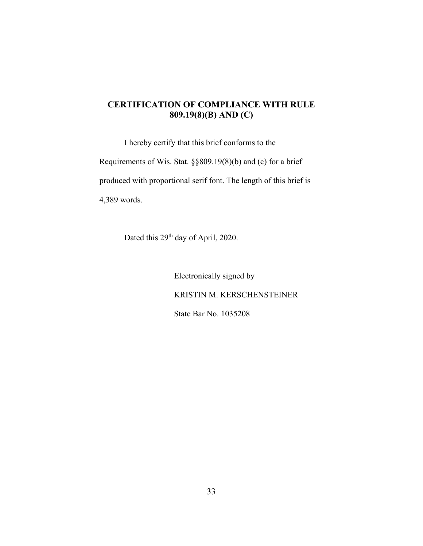### **CERTIFICATION OF COMPLIANCE WITH RULE 809.19(8)(B) AND (C)**

I hereby certify that this brief conforms to the Requirements of Wis. Stat. §§809.19(8)(b) and (c) for a brief produced with proportional serif font. The length of this brief is 4,389 words.

Dated this 29<sup>th</sup> day of April, 2020.

Electronically signed by KRISTIN M. KERSCHENSTEINER State Bar No. 1035208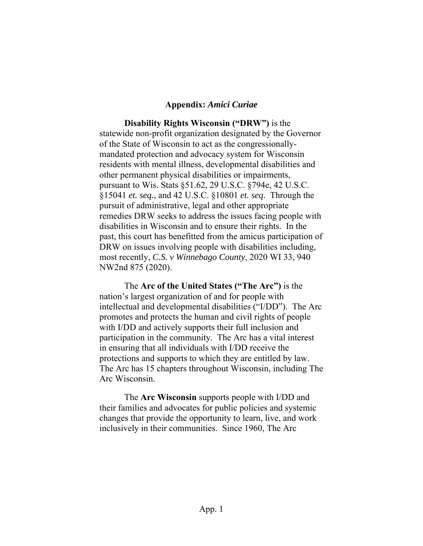#### **Appendix:** *Amici Curiae*

**Disability Rights Wisconsin ("DRW")** is the statewide non-profit organization designated by the Governor of the State of Wisconsin to act as the congressionallymandated protection and advocacy system for Wisconsin residents with mental illness, developmental disabilities and other permanent physical disabilities or impairments, pursuant to Wis. Stats §51.62, 29 U.S.C. §794e, 42 U.S.C. §15041 *et. seq.*, and 42 U.S.C. §10801 *et. seq*. Through the pursuit of administrative, legal and other appropriate remedies DRW seeks to address the issues facing people with disabilities in Wisconsin and to ensure their rights. In the past, this court has benefitted from the amicus participation of DRW on issues involving people with disabilities including, most recently, *C.S. v Winnebago County*, 2020 WI 33, 940 NW2nd 875 (2020).

The **Arc of the United States ("The Arc")** is the nation's largest organization of and for people with intellectual and developmental disabilities ("I/DD"). The Arc promotes and protects the human and civil rights of people with I/DD and actively supports their full inclusion and participation in the community. The Arc has a vital interest in ensuring that all individuals with I/DD receive the protections and supports to which they are entitled by law. The Arc has 15 chapters throughout Wisconsin, including The Arc Wisconsin.

The **Arc Wisconsin** supports people with I/DD and their families and advocates for public policies and systemic changes that provide the opportunity to learn, live, and work inclusively in their communities. Since 1960, The Arc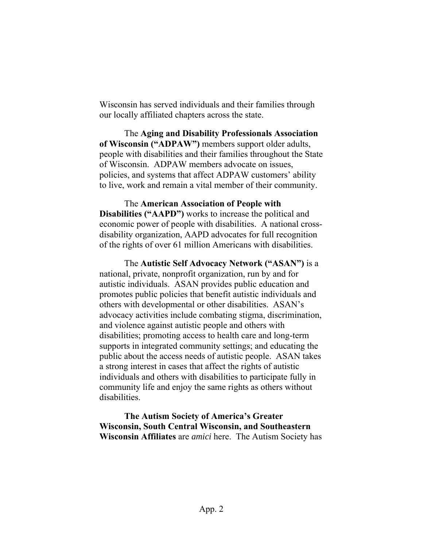Wisconsin has served individuals and their families through our locally affiliated chapters across the state.

The **Aging and Disability Professionals Association of Wisconsin ("ADPAW")** members support older adults, people with disabilities and their families throughout the State of Wisconsin. ADPAW members advocate on issues, policies, and systems that affect ADPAW customers' ability to live, work and remain a vital member of their community.

The **American Association of People with Disabilities ("AAPD")** works to increase the political and economic power of people with disabilities. A national crossdisability organization, AAPD advocates for full recognition of the rights of over 61 million Americans with disabilities.

The **Autistic Self Advocacy Network ("ASAN")** is a national, private, nonprofit organization, run by and for autistic individuals. ASAN provides public education and promotes public policies that benefit autistic individuals and others with developmental or other disabilities. ASAN's advocacy activities include combating stigma, discrimination, and violence against autistic people and others with disabilities; promoting access to health care and long-term supports in integrated community settings; and educating the public about the access needs of autistic people. ASAN takes a strong interest in cases that affect the rights of autistic individuals and others with disabilities to participate fully in community life and enjoy the same rights as others without disabilities.

**The Autism Society of America's Greater Wisconsin, South Central Wisconsin, and Southeastern Wisconsin Affiliates** are *amici* here. The Autism Society has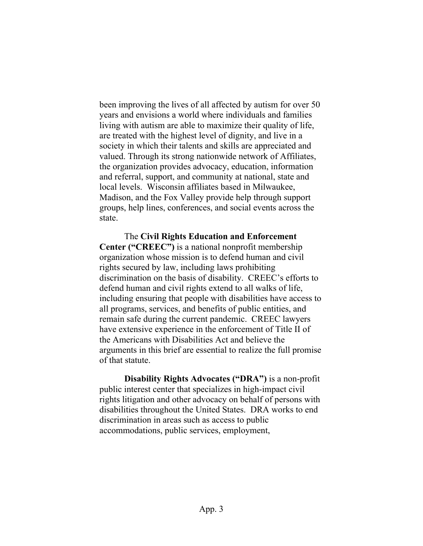been improving the lives of all affected by autism for over 50 years and envisions a world where individuals and families living with autism are able to maximize their quality of life, are treated with the highest level of dignity, and live in a society in which their talents and skills are appreciated and valued. Through its strong nationwide network of Affiliates, the organization provides advocacy, education, information and referral, support, and community at national, state and local levels. Wisconsin affiliates based in Milwaukee, Madison, and the Fox Valley provide help through support groups, help lines, conferences, and social events across the state.

The **Civil Rights Education and Enforcement Center ("CREEC")** is a national nonprofit membership organization whose mission is to defend human and civil rights secured by law, including laws prohibiting discrimination on the basis of disability. CREEC's efforts to defend human and civil rights extend to all walks of life, including ensuring that people with disabilities have access to all programs, services, and benefits of public entities, and remain safe during the current pandemic. CREEC lawyers have extensive experience in the enforcement of Title II of the Americans with Disabilities Act and believe the arguments in this brief are essential to realize the full promise of that statute.

**Disability Rights Advocates ("DRA")** is a non-profit public interest center that specializes in high-impact civil rights litigation and other advocacy on behalf of persons with disabilities throughout the United States. DRA works to end discrimination in areas such as access to public accommodations, public services, employment,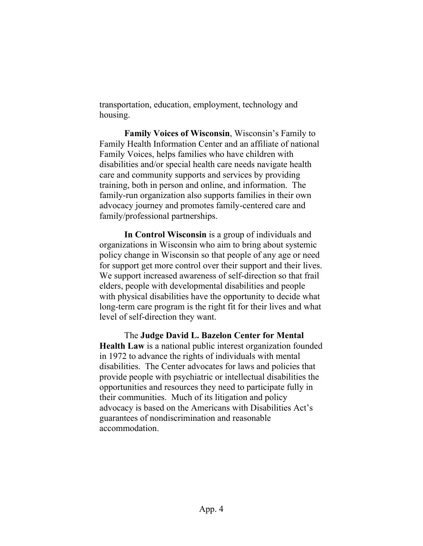transportation, education, employment, technology and housing.

**Family Voices of Wisconsin**, Wisconsin's Family to Family Health Information Center and an affiliate of national Family Voices, helps families who have children with disabilities and/or special health care needs navigate health care and community supports and services by providing training, both in person and online, and information. The family-run organization also supports families in their own advocacy journey and promotes family-centered care and family/professional partnerships.

**In Control Wisconsin** is a group of individuals and organizations in Wisconsin who aim to bring about systemic policy change in Wisconsin so that people of any age or need for support get more control over their support and their lives. We support increased awareness of self-direction so that frail elders, people with developmental disabilities and people with physical disabilities have the opportunity to decide what long-term care program is the right fit for their lives and what level of self-direction they want.

The **Judge David L. Bazelon Center for Mental Health Law** is a national public interest organization founded in 1972 to advance the rights of individuals with mental disabilities. The Center advocates for laws and policies that provide people with psychiatric or intellectual disabilities the opportunities and resources they need to participate fully in their communities. Much of its litigation and policy advocacy is based on the Americans with Disabilities Act's guarantees of nondiscrimination and reasonable accommodation.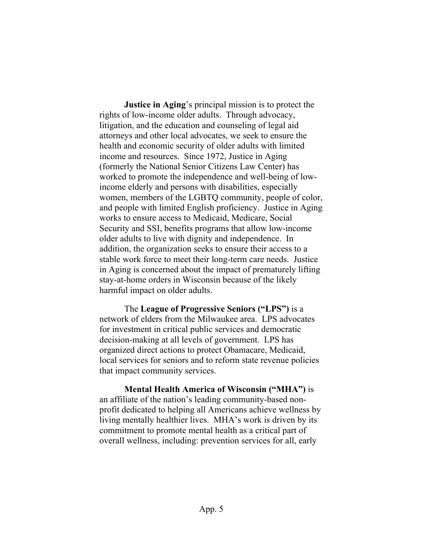**Justice in Aging**'s principal mission is to protect the rights of low-income older adults. Through advocacy, litigation, and the education and counseling of legal aid attorneys and other local advocates, we seek to ensure the health and economic security of older adults with limited income and resources. Since 1972, Justice in Aging (formerly the National Senior Citizens Law Center) has worked to promote the independence and well-being of lowincome elderly and persons with disabilities, especially women, members of the LGBTQ community, people of color, and people with limited English proficiency. Justice in Aging works to ensure access to Medicaid, Medicare, Social Security and SSI, benefits programs that allow low-income older adults to live with dignity and independence. In addition, the organization seeks to ensure their access to a stable work force to meet their long-term care needs. Justice in Aging is concerned about the impact of prematurely lifting stay-at-home orders in Wisconsin because of the likely harmful impact on older adults.

The **League of Progressive Seniors ("LPS")** is a network of elders from the Milwaukee area. LPS advocates for investment in critical public services and democratic decision-making at all levels of government. LPS has organized direct actions to protect Obamacare, Medicaid, local services for seniors and to reform state revenue policies that impact community services.

**Mental Health America of Wisconsin ("MHA")** is an affiliate of the nation's leading community-based nonprofit dedicated to helping all Americans achieve wellness by living mentally healthier lives. MHA's work is driven by its commitment to promote mental health as a critical part of overall wellness, including: prevention services for all, early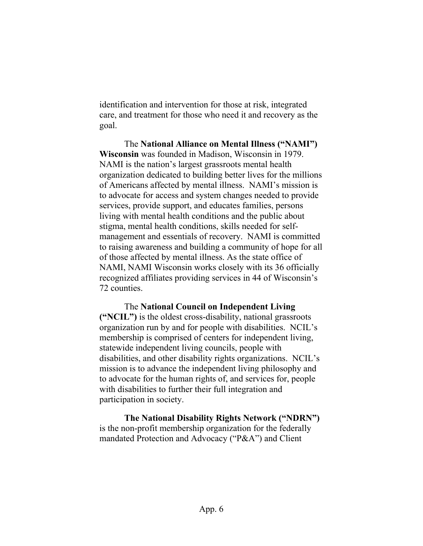identification and intervention for those at risk, integrated care, and treatment for those who need it and recovery as the goal.

The **National Alliance on Mental Illness ("NAMI") Wisconsin** was founded in Madison, Wisconsin in 1979. NAMI is the nation's largest grassroots mental health organization dedicated to building better lives for the millions of Americans affected by mental illness. NAMI's mission is to advocate for access and system changes needed to provide services, provide support, and educates families, persons living with mental health conditions and the public about stigma, mental health conditions, skills needed for selfmanagement and essentials of recovery. NAMI is committed to raising awareness and building a community of hope for all of those affected by mental illness. As the state office of NAMI, NAMI Wisconsin works closely with its 36 officially recognized affiliates providing services in 44 of Wisconsin's 72 counties.

The **National Council on Independent Living ("NCIL")** is the oldest cross-disability, national grassroots organization run by and for people with disabilities. NCIL's membership is comprised of centers for independent living, statewide independent living councils, people with disabilities, and other disability rights organizations. NCIL's mission is to advance the independent living philosophy and to advocate for the human rights of, and services for, people with disabilities to further their full integration and participation in society.

**The National Disability Rights Network ("NDRN")** is the non-profit membership organization for the federally mandated Protection and Advocacy ("P&A") and Client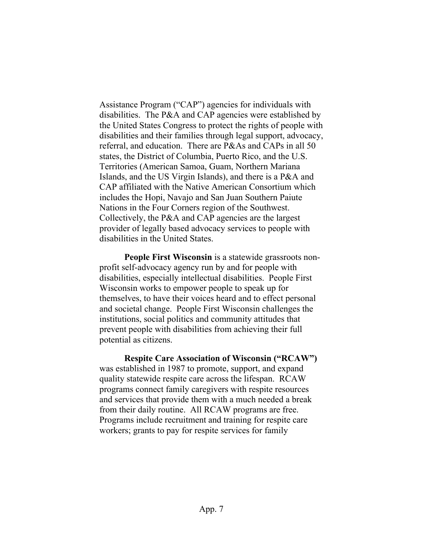Assistance Program ("CAP") agencies for individuals with disabilities. The P&A and CAP agencies were established by the United States Congress to protect the rights of people with disabilities and their families through legal support, advocacy, referral, and education. There are P&As and CAPs in all 50 states, the District of Columbia, Puerto Rico, and the U.S. Territories (American Samoa, Guam, Northern Mariana Islands, and the US Virgin Islands), and there is a P&A and CAP affiliated with the Native American Consortium which includes the Hopi, Navajo and San Juan Southern Paiute Nations in the Four Corners region of the Southwest. Collectively, the P&A and CAP agencies are the largest provider of legally based advocacy services to people with disabilities in the United States.

**People First Wisconsin** is a statewide grassroots nonprofit self-advocacy agency run by and for people with disabilities, especially intellectual disabilities. People First Wisconsin works to empower people to speak up for themselves, to have their voices heard and to effect personal and societal change. People First Wisconsin challenges the institutions, social politics and community attitudes that prevent people with disabilities from achieving their full potential as citizens.

**Respite Care Association of Wisconsin ("RCAW")** was established in 1987 to promote, support, and expand quality statewide respite care across the lifespan. RCAW programs connect family caregivers with respite resources and services that provide them with a much needed a break from their daily routine. All RCAW programs are free. Programs include recruitment and training for respite care workers; grants to pay for respite services for family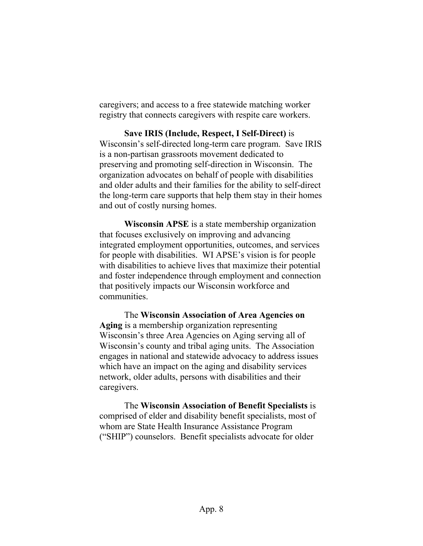caregivers; and access to a free statewide matching worker registry that connects caregivers with respite care workers.

**Save IRIS (Include, Respect, I Self-Direct)** is Wisconsin's self-directed long-term care program. Save IRIS is a non-partisan grassroots movement dedicated to preserving and promoting self-direction in Wisconsin. The organization advocates on behalf of people with disabilities and older adults and their families for the ability to self-direct the long-term care supports that help them stay in their homes and out of costly nursing homes.

**Wisconsin APSE** is a state membership organization that focuses exclusively on improving and advancing integrated employment opportunities, outcomes, and services for people with disabilities. WI APSE's vision is for people with disabilities to achieve lives that maximize their potential and foster independence through employment and connection that positively impacts our Wisconsin workforce and communities.

The **Wisconsin Association of Area Agencies on Aging** is a membership organization representing Wisconsin's three Area Agencies on Aging serving all of Wisconsin's county and tribal aging units. The Association engages in national and statewide advocacy to address issues which have an impact on the aging and disability services network, older adults, persons with disabilities and their caregivers.

The **Wisconsin Association of Benefit Specialists** is comprised of elder and disability benefit specialists, most of whom are State Health Insurance Assistance Program ("SHIP") counselors. Benefit specialists advocate for older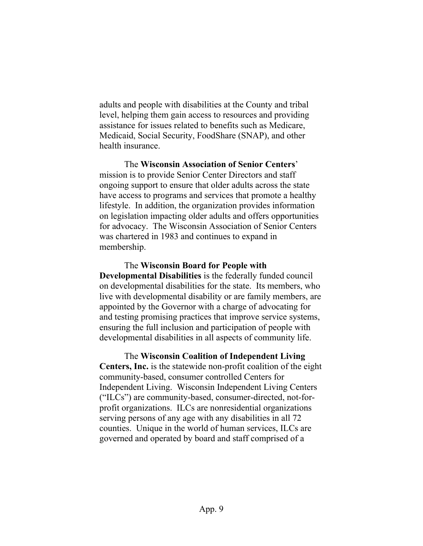adults and people with disabilities at the County and tribal level, helping them gain access to resources and providing assistance for issues related to benefits such as Medicare, Medicaid, Social Security, FoodShare (SNAP), and other health insurance.

The **Wisconsin Association of Senior Centers**' mission is to provide Senior Center Directors and staff ongoing support to ensure that older adults across the state have access to programs and services that promote a healthy lifestyle. In addition, the organization provides information on legislation impacting older adults and offers opportunities for advocacy. The Wisconsin Association of Senior Centers was chartered in 1983 and continues to expand in membership.

The **Wisconsin Board for People with Developmental Disabilities** is the federally funded council on developmental disabilities for the state. Its members, who live with developmental disability or are family members, are appointed by the Governor with a charge of advocating for and testing promising practices that improve service systems, ensuring the full inclusion and participation of people with developmental disabilities in all aspects of community life.

The **Wisconsin Coalition of Independent Living Centers, Inc.** is the statewide non-profit coalition of the eight community-based, consumer controlled Centers for Independent Living. Wisconsin Independent Living Centers ("ILCs") are community-based, consumer-directed, not-forprofit organizations. ILCs are nonresidential organizations serving persons of any age with any disabilities in all 72 counties. Unique in the world of human services, ILCs are governed and operated by board and staff comprised of a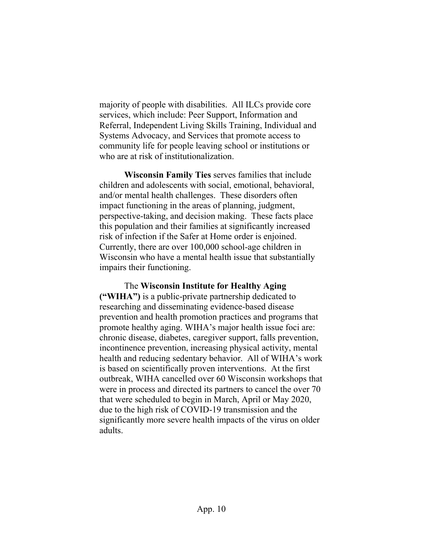majority of people with disabilities. All ILCs provide core services, which include: Peer Support, Information and Referral, Independent Living Skills Training, Individual and Systems Advocacy, and Services that promote access to community life for people leaving school or institutions or who are at risk of institutionalization.

**Wisconsin Family Ties** serves families that include children and adolescents with social, emotional, behavioral, and/or mental health challenges. These disorders often impact functioning in the areas of planning, judgment, perspective-taking, and decision making. These facts place this population and their families at significantly increased risk of infection if the Safer at Home order is enjoined. Currently, there are over 100,000 school-age children in Wisconsin who have a mental health issue that substantially impairs their functioning.

The **Wisconsin Institute for Healthy Aging ("WIHA")** is a public-private partnership dedicated to researching and disseminating evidence-based disease prevention and health promotion practices and programs that promote healthy aging. WIHA's major health issue foci are: chronic disease, diabetes, caregiver support, falls prevention, incontinence prevention, increasing physical activity, mental health and reducing sedentary behavior. All of WIHA's work is based on scientifically proven interventions. At the first outbreak, WIHA cancelled over 60 Wisconsin workshops that were in process and directed its partners to cancel the over 70 that were scheduled to begin in March, April or May 2020, due to the high risk of COVID-19 transmission and the significantly more severe health impacts of the virus on older adults.